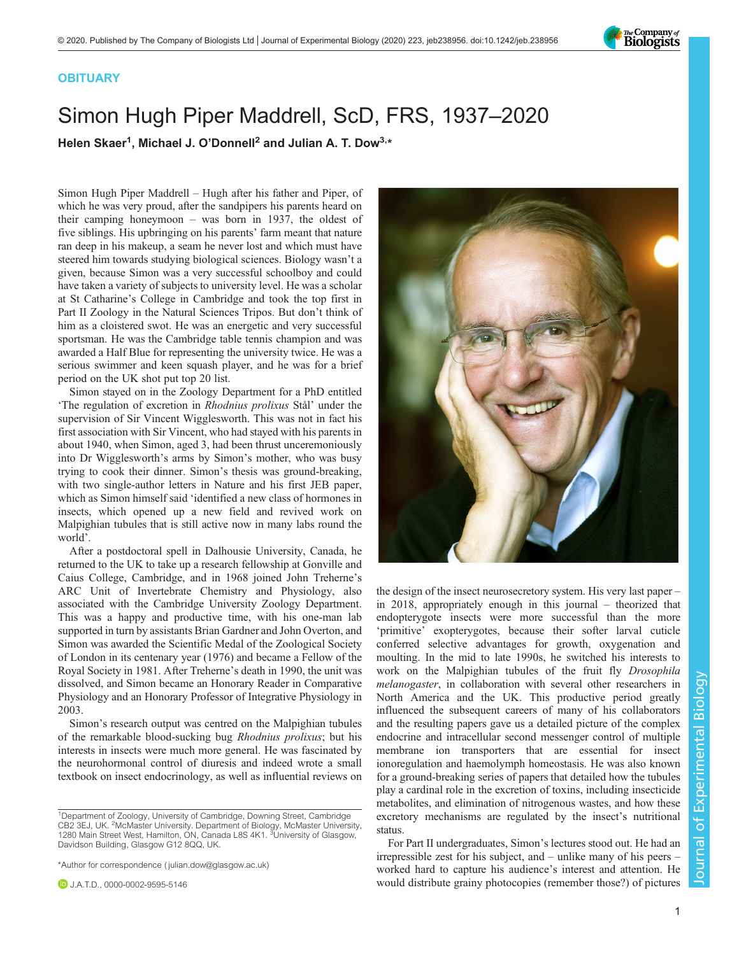

## **OBITUARY**

## Simon Hugh Piper Maddrell, ScD, FRS, 1937–2020

Helen Skaer<sup>1</sup>, Michael J. O'Donnell<sup>2</sup> and Julian A. T. Dow<sup>3,\*</sup>

Simon Hugh Piper Maddrell – Hugh after his father and Piper, of which he was very proud, after the sandpipers his parents heard on their camping honeymoon – was born in 1937, the oldest of five siblings. His upbringing on his parents' farm meant that nature ran deep in his makeup, a seam he never lost and which must have steered him towards studying biological sciences. Biology wasn't a given, because Simon was a very successful schoolboy and could have taken a variety of subjects to university level. He was a scholar at St Catharine's College in Cambridge and took the top first in Part II Zoology in the Natural Sciences Tripos. But don't think of him as a cloistered swot. He was an energetic and very successful sportsman. He was the Cambridge table tennis champion and was awarded a Half Blue for representing the university twice. He was a serious swimmer and keen squash player, and he was for a brief period on the UK shot put top 20 list.

Simon stayed on in the Zoology Department for a PhD entitled 'The regulation of excretion in Rhodnius prolixus Stål' under the supervision of Sir Vincent Wigglesworth. This was not in fact his first association with Sir Vincent, who had stayed with his parents in about 1940, when Simon, aged 3, had been thrust unceremoniously into Dr Wigglesworth's arms by Simon's mother, who was busy trying to cook their dinner. Simon's thesis was ground-breaking, with two single-author letters in Nature and his first JEB paper, which as Simon himself said 'identified a new class of hormones in insects, which opened up a new field and revived work on Malpighian tubules that is still active now in many labs round the world'.

After a postdoctoral spell in Dalhousie University, Canada, he returned to the UK to take up a research fellowship at Gonville and Caius College, Cambridge, and in 1968 joined John Treherne's ARC Unit of Invertebrate Chemistry and Physiology, also associated with the Cambridge University Zoology Department. This was a happy and productive time, with his one-man lab supported in turn by assistants Brian Gardner and John Overton, and Simon was awarded the Scientific Medal of the Zoological Society of London in its centenary year (1976) and became a Fellow of the Royal Society in 1981. After Treherne's death in 1990, the unit was dissolved, and Simon became an Honorary Reader in Comparative Physiology and an Honorary Professor of Integrative Physiology in 2003.

Simon's research output was centred on the Malpighian tubules of the remarkable blood-sucking bug Rhodnius prolixus; but his interests in insects were much more general. He was fascinated by the neurohormonal control of diuresis and indeed wrote a small textbook on insect endocrinology, as well as influential reviews on

\*Author for correspondence [\( julian.dow@glasgow.ac.uk\)](mailto:julian.dow@glasgow.ac.uk)



the design of the insect neurosecretory system. His very last paper – in 2018, appropriately enough in this journal – theorized that endopterygote insects were more successful than the more 'primitive' exopterygotes, because their softer larval cuticle conferred selective advantages for growth, oxygenation and moulting. In the mid to late 1990s, he switched his interests to work on the Malpighian tubules of the fruit fly Drosophila melanogaster, in collaboration with several other researchers in North America and the UK. This productive period greatly influenced the subsequent careers of many of his collaborators and the resulting papers gave us a detailed picture of the complex endocrine and intracellular second messenger control of multiple membrane ion transporters that are essential for insect ionoregulation and haemolymph homeostasis. He was also known for a ground-breaking series of papers that detailed how the tubules play a cardinal role in the excretion of toxins, including insecticide metabolites, and elimination of nitrogenous wastes, and how these excretory mechanisms are regulated by the insect's nutritional status.

For Part II undergraduates, Simon's lectures stood out. He had an irrepressible zest for his subject, and – unlike many of his peers – worked hard to capture his audience's interest and attention. He would distribute grainy photocopies (remember those?) of pictures

<sup>&</sup>lt;sup>1</sup>Department of Zoology, University of Cambridge, Downing Street, Cambridge CB2 3EJ, UK. <sup>2</sup> McMaster University. Department of Biology, McMaster University, 1280 Main Street West, Hamilton, ON, Canada L8S 4K1. <sup>3</sup>University of Glasgow, Davidson Building, Glasgow G12 8QQ, UK.